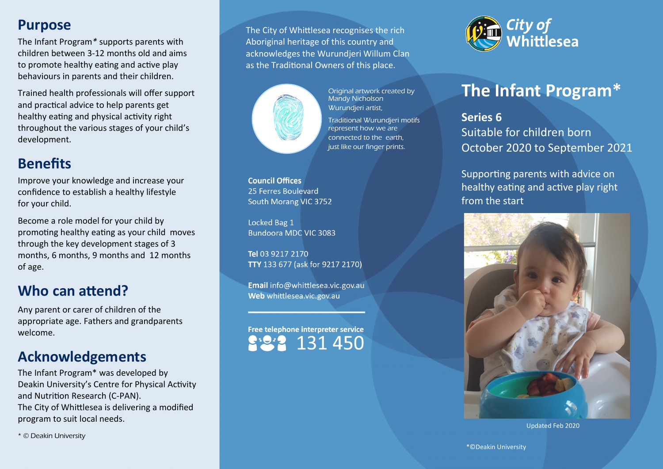### **Purpose**

The Infant Program*\** supports parents with children between 3-12 months old and aims to promote healthy eating and active play behaviours in parents and their children.

Trained health professionals will offer support and practical advice to help parents get healthy eating and physical activity right throughout the various stages of your child's development.

## **Benefits**

Improve your knowledge and increase your confidence to establish a healthy lifestyle for your child.

Become a role model for your child by promoting healthy eating as your child moves through the key development stages of 3 months, 6 months, 9 months and 12 months of age.

### **Who can attend?**

Any parent or carer of children of the appropriate age. Fathers and grandparents welcome.

### **Acknowledgements**

The Infant Program\* was developed by Deakin University's Centre for Physical Activity and Nutrition Research (C-PAN). The City of Whittlesea is delivering a modified program to suit local needs.

\* © Deakin University

The City of Whittlesea recognises the rich Aboriginal heritage of this country and acknowledges the Wurundjeri Willum Clan as the Traditional Owners of this place.



Original artwork created by Mandy Nicholson Wurundjeri artist, Traditional Wurundjeri motifs represent how we are connected to the earth, just like our finger prints.

**Council Offices** 25 Ferres Boulevard South Morang VIC 3752

Locked Bag 1 Bundoora MDC VIC 3083

Tel 03 9217 2170 TTY 133 677 (ask for 9217 2170)

Email info@whittlesea.vic.gov.au Web whittlesea.vic.gov.au

Free telephone interpreter service 131 450



# **The Infant Program\***

**Series 6** Suitable for children born October 2020 to September 2021

Supporting parents with advice on healthy eating and active play right from the start



Updated Feb 2020

\*©Deakin University